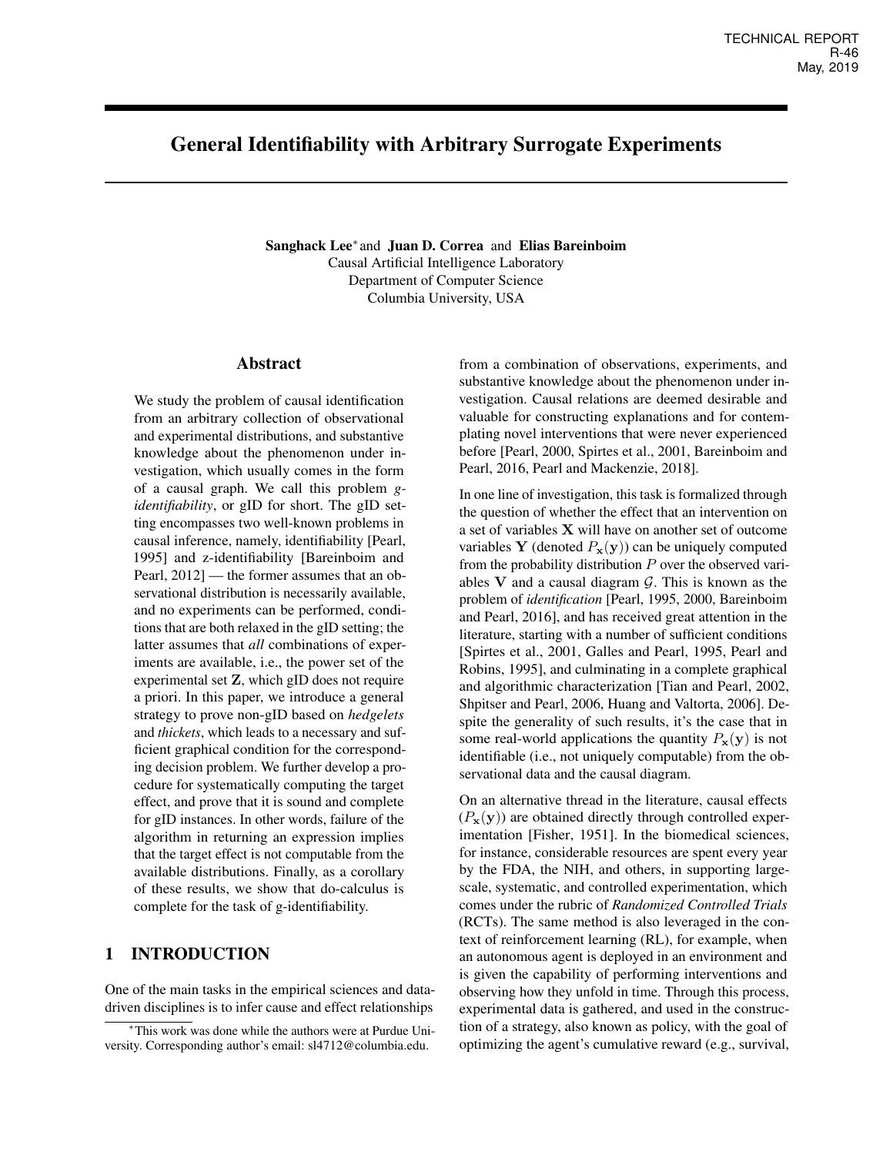# General Identifiability with Arbitrary Surrogate Experiments

Sanghack Lee<sup>\*</sup> and Juan D. Correa and Elias Bareinboim Causal Artificial Intelligence Laboratory Department of Computer Science Columbia University, USA

### Abstract

We study the problem of causal identification from an arbitrary collection of observational and experimental distributions, and substantive knowledge about the phenomenon under investigation, which usually comes in the form of a causal graph. We call this problem *gidentifiability*, or gID for short. The gID setting encompasses two well-known problems in causal inference, namely, identifiability [Pearl, 1995] and z-identifiability [Bareinboim and Pearl, 2012] — the former assumes that an observational distribution is necessarily available, and no experiments can be performed, conditions that are both relaxed in the gID setting; the latter assumes that *all* combinations of experiments are available, i.e., the power set of the experimental set Z, which gID does not require a priori. In this paper, we introduce a general strategy to prove non-gID based on *hedgelets* and *thickets*, which leads to a necessary and sufficient graphical condition for the corresponding decision problem. We further develop a procedure for systematically computing the target effect, and prove that it is sound and complete for gID instances. In other words, failure of the algorithm in returning an expression implies that the target effect is not computable from the available distributions. Finally, as a corollary of these results, we show that do-calculus is complete for the task of g-identifiability.

# 1 INTRODUCTION

One of the main tasks in the empirical sciences and datadriven disciplines is to infer cause and effect relationships

from a combination of observations, experiments, and substantive knowledge about the phenomenon under investigation. Causal relations are deemed desirable and valuable for constructing explanations and for contemplating novel interventions that were never experienced before [Pearl, 2000, Spirtes et al., 2001, Bareinboim and Pearl, 2016, Pearl and Mackenzie, 2018].

In one line of investigation, this task is formalized through the question of whether the effect that an intervention on a set of variables X will have on another set of outcome variables Y (denoted  $P_{\mathbf{x}}(\mathbf{y})$ ) can be uniquely computed from the probability distribution  $P$  over the observed variables  $V$  and a causal diagram  $G$ . This is known as the problem of *identification* [Pearl, 1995, 2000, Bareinboim and Pearl, 2016], and has received great attention in the literature, starting with a number of sufficient conditions [Spirtes et al., 2001, Galles and Pearl, 1995, Pearl and Robins, 1995], and culminating in a complete graphical and algorithmic characterization [Tian and Pearl, 2002, Shpitser and Pearl, 2006, Huang and Valtorta, 2006]. Despite the generality of such results, it's the case that in some real-world applications the quantity  $P_{\mathbf{x}}(\mathbf{y})$  is not identifiable (i.e., not uniquely computable) from the observational data and the causal diagram.

On an alternative thread in the literature, causal effects  $(P_x(y))$  are obtained directly through controlled experimentation [Fisher, 1951]. In the biomedical sciences, for instance, considerable resources are spent every year by the FDA, the NIH, and others, in supporting largescale, systematic, and controlled experimentation, which comes under the rubric of *Randomized Controlled Trials* (RCTs). The same method is also leveraged in the context of reinforcement learning (RL), for example, when an autonomous agent is deployed in an environment and is given the capability of performing interventions and observing how they unfold in time. Through this process, experimental data is gathered, and used in the construction of a strategy, also known as policy, with the goal of optimizing the agent's cumulative reward (e.g., survival,

<sup>∗</sup>This work was done while the authors were at Purdue University. Corresponding author's email: sl4712@columbia.edu.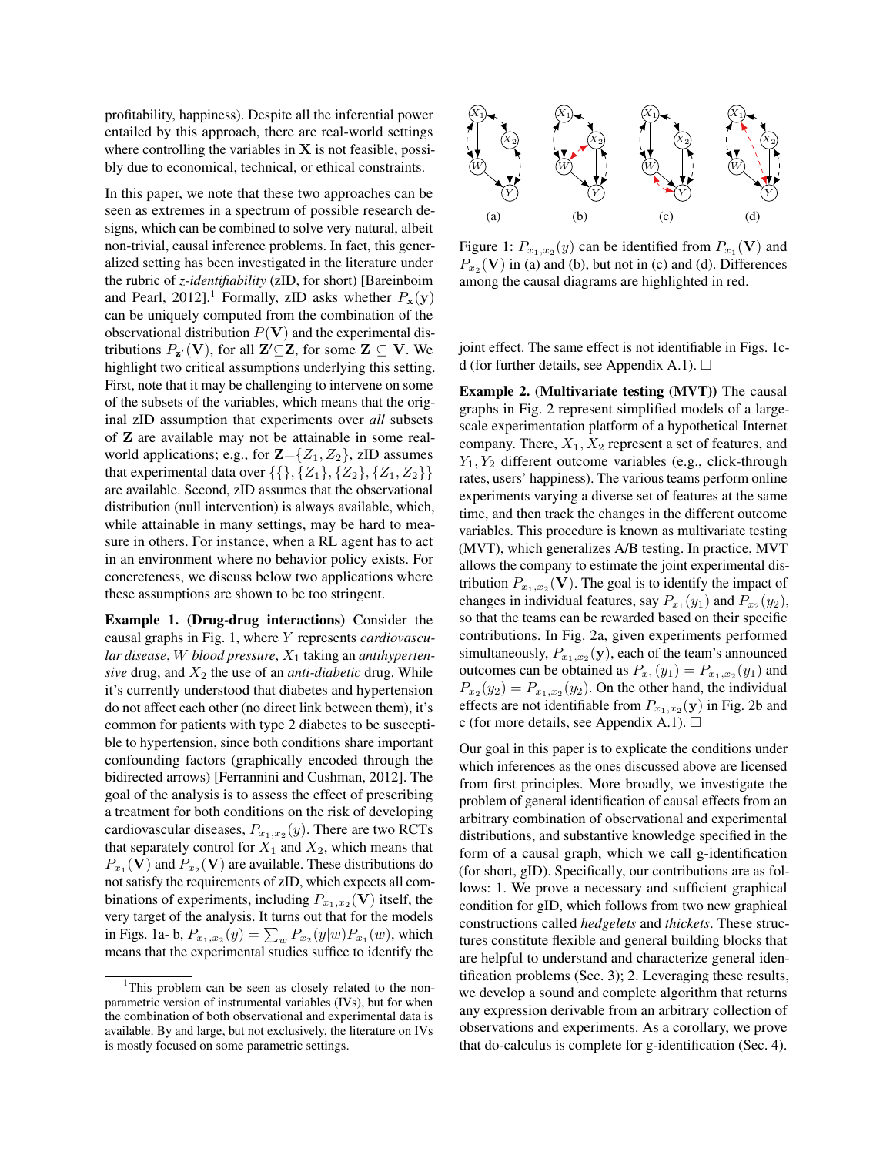profitability, happiness). Despite all the inferential power entailed by this approach, there are real-world settings where controlling the variables in  $X$  is not feasible, possibly due to economical, technical, or ethical constraints.

In this paper, we note that these two approaches can be seen as extremes in a spectrum of possible research designs, which can be combined to solve very natural, albeit non-trivial, causal inference problems. In fact, this generalized setting has been investigated in the literature under the rubric of *z-identifiability* (zID, for short) [Bareinboim and Pearl, 2012].<sup>1</sup> Formally, zID asks whether  $P_x(y)$ can be uniquely computed from the combination of the observational distribution  $P(V)$  and the experimental distributions  $P_{\mathbf{z}'}(\mathbf{V})$ , for all  $\mathbf{Z}' \subseteq \mathbf{Z}$ , for some  $\mathbf{Z} \subseteq \mathbf{V}$ . We highlight two critical assumptions underlying this setting. First, note that it may be challenging to intervene on some of the subsets of the variables, which means that the original zID assumption that experiments over *all* subsets of Z are available may not be attainable in some realworld applications; e.g., for  $\mathbf{Z} = \{Z_1, Z_2\}$ , zID assumes that experimental data over  $\{\{\}, \{Z_1\}, \{Z_2\}, \{Z_1, Z_2\}\}\$ are available. Second, zID assumes that the observational distribution (null intervention) is always available, which, while attainable in many settings, may be hard to measure in others. For instance, when a RL agent has to act in an environment where no behavior policy exists. For concreteness, we discuss below two applications where these assumptions are shown to be too stringent.

Example 1. (Drug-drug interactions) Consider the causal graphs in Fig. 1, where Y represents *cardiovascu*lar disease, W blood pressure,  $X_1$  taking an *antihypertensive* drug, and  $X_2$  the use of an *anti-diabetic* drug. While it's currently understood that diabetes and hypertension do not affect each other (no direct link between them), it's common for patients with type 2 diabetes to be susceptible to hypertension, since both conditions share important confounding factors (graphically encoded through the bidirected arrows) [Ferrannini and Cushman, 2012]. The goal of the analysis is to assess the effect of prescribing a treatment for both conditions on the risk of developing cardiovascular diseases,  $P_{x_1,x_2}(y)$ . There are two RCTs that separately control for  $X_1$  and  $X_2$ , which means that  $P_{x_1}(\mathbf{V})$  and  $P_{x_2}(\mathbf{V})$  are available. These distributions do not satisfy the requirements of zID, which expects all combinations of experiments, including  $P_{x_1,x_2}(\mathbf{V})$  itself, the very target of the analysis. It turns out that for the models in Figs. 1a- b,  $P_{x_1,x_2}(y) = \sum_{w} P_{x_2}(y|w) P_{x_1}(w)$ , which means that the experimental studies suffice to identify the



Figure 1:  $P_{x_1,x_2}(y)$  can be identified from  $P_{x_1}(\mathbf{V})$  and  $P_{x_2}(\mathbf{V})$  in (a) and (b), but not in (c) and (d). Differences among the causal diagrams are highlighted in red.

joint effect. The same effect is not identifiable in Figs. 1cd (for further details, see Appendix A.1).  $\Box$ 

Example 2. (Multivariate testing (MVT)) The causal graphs in Fig. 2 represent simplified models of a largescale experimentation platform of a hypothetical Internet company. There,  $X_1, X_2$  represent a set of features, and  $Y_1, Y_2$  different outcome variables (e.g., click-through rates, users' happiness). The various teams perform online experiments varying a diverse set of features at the same time, and then track the changes in the different outcome variables. This procedure is known as multivariate testing (MVT), which generalizes A/B testing. In practice, MVT allows the company to estimate the joint experimental distribution  $P_{x_1,x_2}(\mathbf{V})$ . The goal is to identify the impact of changes in individual features, say  $P_{x_1}(y_1)$  and  $P_{x_2}(y_2)$ , so that the teams can be rewarded based on their specific contributions. In Fig. 2a, given experiments performed simultaneously,  $P_{x_1,x_2}(\mathbf{y})$ , each of the team's announced outcomes can be obtained as  $P_{x_1}(y_1) = P_{x_1,x_2}(y_1)$  and  $P_{x_2}(y_2) = P_{x_1,x_2}(y_2)$ . On the other hand, the individual effects are not identifiable from  $P_{x_1,x_2}(\mathbf{y})$  in Fig. 2b and c (for more details, see Appendix A.1).  $\Box$ 

Our goal in this paper is to explicate the conditions under which inferences as the ones discussed above are licensed from first principles. More broadly, we investigate the problem of general identification of causal effects from an arbitrary combination of observational and experimental distributions, and substantive knowledge specified in the form of a causal graph, which we call g-identification (for short, gID). Specifically, our contributions are as follows: 1. We prove a necessary and sufficient graphical condition for gID, which follows from two new graphical constructions called *hedgelets* and *thickets*. These structures constitute flexible and general building blocks that are helpful to understand and characterize general identification problems (Sec. 3); 2. Leveraging these results, we develop a sound and complete algorithm that returns any expression derivable from an arbitrary collection of observations and experiments. As a corollary, we prove that do-calculus is complete for g-identification (Sec. 4).

<sup>&</sup>lt;sup>1</sup>This problem can be seen as closely related to the nonparametric version of instrumental variables (IVs), but for when the combination of both observational and experimental data is available. By and large, but not exclusively, the literature on IVs is mostly focused on some parametric settings.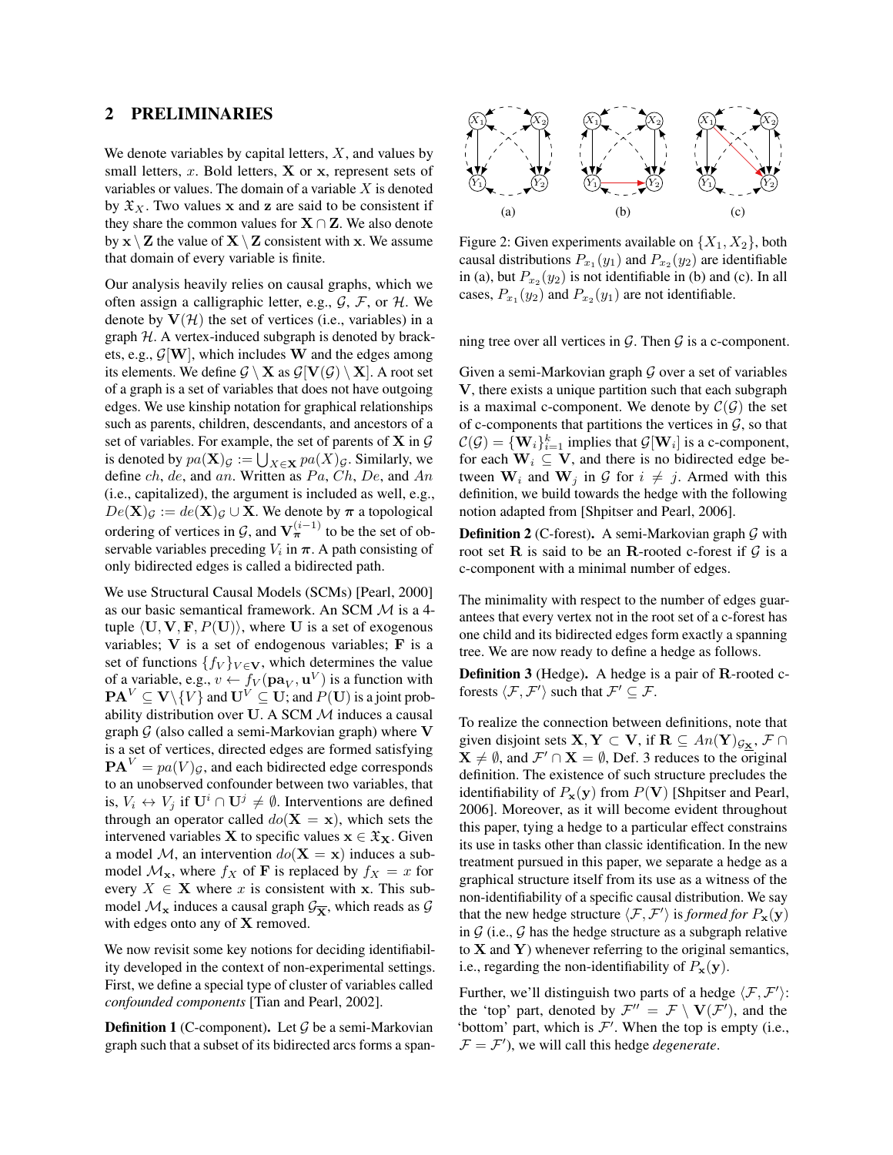### 2 PRELIMINARIES

We denote variables by capital letters,  $X$ , and values by small letters,  $x$ . Bold letters,  $X$  or  $x$ , represent sets of variables or values. The domain of a variable  $X$  is denoted by  $\mathfrak{X}_X$ . Two values x and z are said to be consistent if they share the common values for  $X \cap Z$ . We also denote by  $x \setminus Z$  the value of  $X \setminus Z$  consistent with x. We assume that domain of every variable is finite.

Our analysis heavily relies on causal graphs, which we often assign a calligraphic letter, e.g.,  $G$ ,  $F$ , or  $H$ . We denote by  $V(\mathcal{H})$  the set of vertices (i.e., variables) in a graph  $H$ . A vertex-induced subgraph is denoted by brackets, e.g.,  $\mathcal{G}[\mathbf{W}]$ , which includes W and the edges among its elements. We define  $\mathcal{G} \setminus \mathbf{X}$  as  $\mathcal{G}[\mathbf{V}(\mathcal{G}) \setminus \mathbf{X}]$ . A root set of a graph is a set of variables that does not have outgoing edges. We use kinship notation for graphical relationships such as parents, children, descendants, and ancestors of a set of variables. For example, the set of parents of  $X$  in  $G$ is denoted by  $pa(\mathbf{X})_{\mathcal{G}} := \bigcup_{X \in \mathbf{X}} pa(X)_{\mathcal{G}}$ . Similarly, we define  $ch$ , de, and an. Written as  $Pa$ ,  $Ch$ ,  $De$ , and  $An$ (i.e., capitalized), the argument is included as well, e.g.,  $De(X)_{\mathcal{G}} := de(X)_{\mathcal{G}} \cup X$ . We denote by  $\pi$  a topological ordering of vertices in  $\mathcal{G}$ , and  $\mathbf{V}_{\boldsymbol{\pi}}^{(i-1)}$  to be the set of observable variables preceding  $V_i$  in  $\pi$ . A path consisting of only bidirected edges is called a bidirected path.

We use Structural Causal Models (SCMs) [Pearl, 2000] as our basic semantical framework. An SCM M is a 4 tuple  $\langle \mathbf{U}, \mathbf{V}, \mathbf{F}, P(\mathbf{U}) \rangle$ , where U is a set of exogenous variables;  $V$  is a set of endogenous variables;  $F$  is a set of functions  $\{f_V\}_{V \in \mathbf{V}}$ , which determines the value of a variable, e.g.,  $v \leftarrow f_V(\mathbf{pa}_V, \mathbf{u}^V)$  is a function with  $\mathbf{PA}^V \subseteq \mathbf{V} \backslash \{V\}$  and  $\mathbf{U}^V \subseteq \mathbf{U}$ ; and  $P(\mathbf{U})$  is a joint probability distribution over U. A SCM  $M$  induces a causal graph  $G$  (also called a semi-Markovian graph) where V is a set of vertices, directed edges are formed satisfying  $\mathbf{PA}^{V} = pa(V)g$ , and each bidirected edge corresponds to an unobserved confounder between two variables, that is,  $V_i \leftrightarrow V_j$  if  $\mathbf{U}^i \cap \mathbf{U}^j \neq \emptyset$ . Interventions are defined through an operator called  $do(X = x)$ , which sets the intervened variables **X** to specific values  $x \in \mathfrak{X}_X$ . Given a model M, an intervention  $do(X = x)$  induces a submodel  $\mathcal{M}_{\mathbf{x}}$ , where  $f_X$  of **F** is replaced by  $f_X = x$  for every  $X \in \mathbf{X}$  where x is consistent with x. This submodel  $\mathcal{M}_{\mathbf{x}}$  induces a causal graph  $\mathcal{G}_{\overline{\mathbf{x}}}$ , which reads as  $\mathcal{G}$ with edges onto any of X removed.

We now revisit some key notions for deciding identifiability developed in the context of non-experimental settings. First, we define a special type of cluster of variables called *confounded components* [Tian and Pearl, 2002].

**Definition 1** (C-component). Let  $\mathcal G$  be a semi-Markovian graph such that a subset of its bidirected arcs forms a span-



Figure 2: Given experiments available on  $\{X_1, X_2\}$ , both causal distributions  $P_{x_1}(y_1)$  and  $P_{x_2}(y_2)$  are identifiable in (a), but  $P_{x_2}(y_2)$  is not identifiable in (b) and (c). In all cases,  $P_{x_1}(y_2)$  and  $P_{x_2}(y_1)$  are not identifiable.

ning tree over all vertices in  $G$ . Then  $G$  is a c-component.

Given a semi-Markovian graph  $G$  over a set of variables V, there exists a unique partition such that each subgraph is a maximal c-component. We denote by  $\mathcal{C}(\mathcal{G})$  the set of c-components that partitions the vertices in  $G$ , so that  $\mathcal{C}(\mathcal{G}) = {\mathbf \{W}_i\}_{i=1}^k$  implies that  $\mathcal{G}[\mathbf{W}_i]$  is a c-component, for each  $W_i \subseteq V$ , and there is no bidirected edge between  $W_i$  and  $W_j$  in G for  $i \neq j$ . Armed with this definition, we build towards the hedge with the following notion adapted from [Shpitser and Pearl, 2006].

**Definition 2** (C-forest). A semi-Markovian graph  $G$  with root set R is said to be an R-rooted c-forest if  $G$  is a c-component with a minimal number of edges.

The minimality with respect to the number of edges guarantees that every vertex not in the root set of a c-forest has one child and its bidirected edges form exactly a spanning tree. We are now ready to define a hedge as follows.

Definition 3 (Hedge). A hedge is a pair of R-rooted cforests  $\langle \mathcal{F}, \mathcal{F}' \rangle$  such that  $\mathcal{F}' \subseteq \mathcal{F}$ .

To realize the connection between definitions, note that given disjoint sets  $X, Y \subset V$ , if  $R \subseteq An(Y)_{\mathcal{G}_X}, \mathcal{F} \cap$  $X \neq \emptyset$ , and  $\mathcal{F}' \cap X = \emptyset$ , Def. 3 reduces to the original definition. The existence of such structure precludes the identifiability of  $P_x(y)$  from  $P(V)$  [Shpitser and Pearl, 2006]. Moreover, as it will become evident throughout this paper, tying a hedge to a particular effect constrains its use in tasks other than classic identification. In the new treatment pursued in this paper, we separate a hedge as a graphical structure itself from its use as a witness of the non-identifiability of a specific causal distribution. We say that the new hedge structure  $\langle \mathcal{F}, \mathcal{F}' \rangle$  is *formed for*  $P_{\mathbf{x}}(\mathbf{y})$ in  $G$  (i.e.,  $G$  has the hedge structure as a subgraph relative to  $X$  and  $Y$ ) whenever referring to the original semantics, i.e., regarding the non-identifiability of  $P_x(y)$ .

Further, we'll distinguish two parts of a hedge  $\langle F, F' \rangle$ : the 'top' part, denoted by  $\mathcal{F}'' = \mathcal{F} \setminus \mathbf{V}(\mathcal{F}')$ , and the 'bottom' part, which is  $\mathcal{F}'$ . When the top is empty (i.e.,  $\mathcal{F} = \mathcal{F}'$ , we will call this hedge *degenerate*.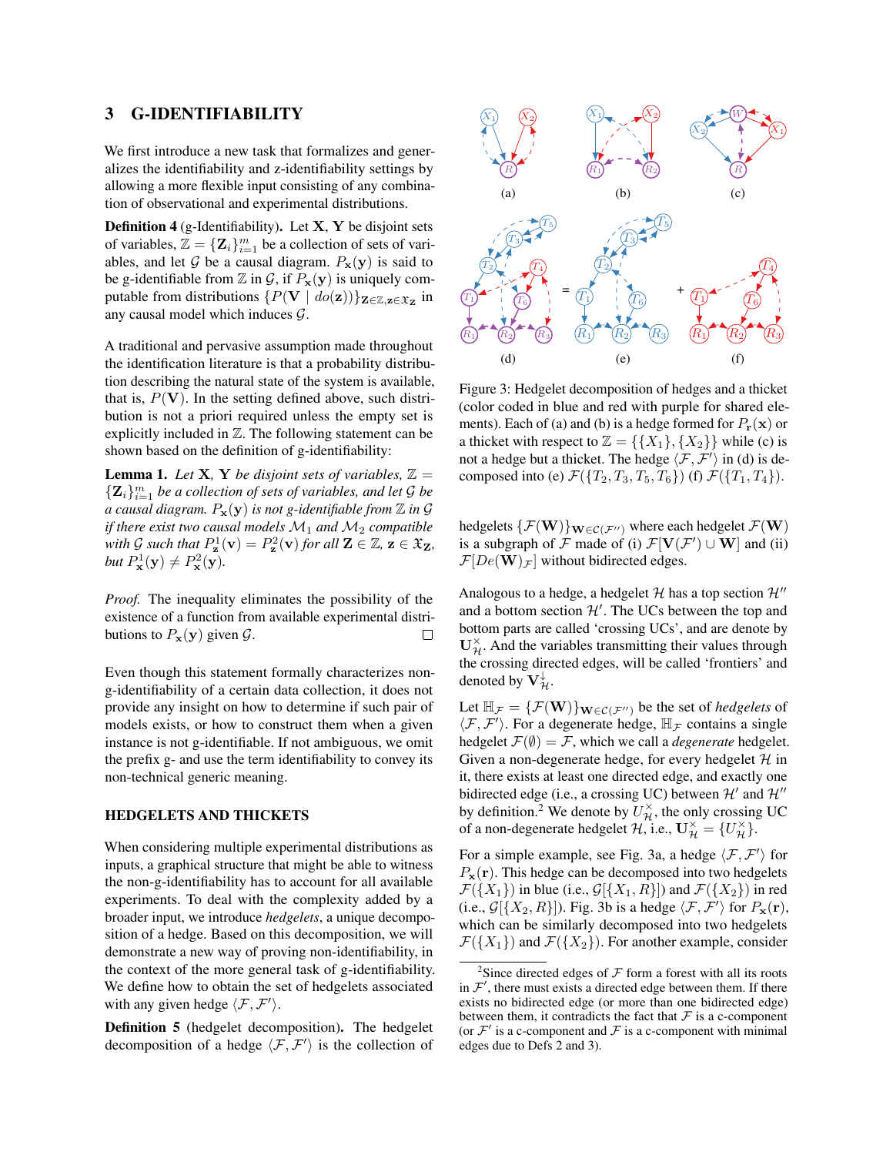## 3 G-IDENTIFIABILITY

We first introduce a new task that formalizes and generalizes the identifiability and z-identifiability settings by allowing a more flexible input consisting of any combination of observational and experimental distributions.

**Definition 4** (g-Identifiability). Let  $X$ ,  $Y$  be disjoint sets of variables,  $\mathbb{Z} = {\mathbf{Z}_i}_{i=1}^m$  be a collection of sets of variables, and let G be a causal diagram.  $P_x(y)$  is said to be g-identifiable from  $\mathbb Z$  in  $\mathcal G$ , if  $P_{\mathbf x}(\mathbf y)$  is uniquely computable from distributions  $\{P(\mathbf{V} \mid \textit{do}(\mathbf{z}))\}_{\mathbf{Z}\in\mathbb{Z},\mathbf{z}\in\mathfrak{X}_{\mathbf{Z}}}$  in any causal model which induces G.

A traditional and pervasive assumption made throughout the identification literature is that a probability distribution describing the natural state of the system is available, that is,  $P(V)$ . In the setting defined above, such distribution is not a priori required unless the empty set is explicitly included in  $Z$ . The following statement can be shown based on the definition of g-identifiability:

**Lemma 1.** Let **X**, **Y** be disjoint sets of variables,  $\mathbb{Z} =$  $\{ \mathbf{Z}_i \}_{i=1}^m$  be a collection of sets of variables, and let  $\mathcal G$  be *a causal diagram.*  $P_x(y)$  *is not g-identifiable from*  $\mathbb Z$  *in*  $\mathcal G$ *if there exist two causal models*  $M_1$  *and*  $M_2$  *compatible* with G such that  $P_{\mathbf{z}}^1(\mathbf{v}) = P_{\mathbf{z}}^2(\mathbf{v})$  for all  $\mathbf{Z} \in \mathbb{Z}, \mathbf{z} \in \mathfrak{X}_{\mathbf{Z}}$ , but  $P^1_{\mathbf{x}}(\mathbf{y}) \neq P^2_{\mathbf{x}}(\mathbf{y})$ .

*Proof.* The inequality eliminates the possibility of the existence of a function from available experimental distributions to  $P_{\mathbf{x}}(\mathbf{y})$  given  $\mathcal{G}$ .  $\Box$ 

Even though this statement formally characterizes nong-identifiability of a certain data collection, it does not provide any insight on how to determine if such pair of models exists, or how to construct them when a given instance is not g-identifiable. If not ambiguous, we omit the prefix g- and use the term identifiability to convey its non-technical generic meaning.

### HEDGELETS AND THICKETS

When considering multiple experimental distributions as inputs, a graphical structure that might be able to witness the non-g-identifiability has to account for all available experiments. To deal with the complexity added by a broader input, we introduce *hedgelets*, a unique decomposition of a hedge. Based on this decomposition, we will demonstrate a new way of proving non-identifiability, in the context of the more general task of g-identifiability. We define how to obtain the set of hedgelets associated with any given hedge  $\langle \mathcal{F}, \mathcal{F}' \rangle$ .

Definition 5 (hedgelet decomposition). The hedgelet decomposition of a hedge  $\langle F, \mathcal{F}' \rangle$  is the collection of



Figure 3: Hedgelet decomposition of hedges and a thicket (color coded in blue and red with purple for shared elements). Each of (a) and (b) is a hedge formed for  $P_{\bf r}({\bf x})$  or a thicket with respect to  $\mathbb{Z} = \{\{X_1\}, \{X_2\}\}\$  while (c) is not a hedge but a thicket. The hedge  $\langle \mathcal{F}, \mathcal{F}' \rangle$  in (d) is decomposed into (e)  $\mathcal{F}(\lbrace T_2, T_3, T_5, T_6 \rbrace)$  (f)  $\mathcal{F}(\lbrace T_1, T_4 \rbrace)$ .

hedgelets  $\{\mathcal{F}(\mathbf{W})\}_{\mathbf{W}\in\mathcal{C}(\mathcal{F}'')}$  where each hedgelet  $\mathcal{F}(\mathbf{W})$ is a subgraph of  $\mathcal F$  made of (i)  $\mathcal F[\mathbf V(\mathcal F')\cup\mathbf W]$  and (ii)  $\mathcal{F}[De(\mathbf{W})_{\mathcal{F}}]$  without bidirected edges.

Analogous to a hedge, a hedgelet  $H$  has a top section  $H''$ and a bottom section  $\mathcal{H}'$ . The UCs between the top and bottom parts are called 'crossing UCs', and are denote by  $U_{\mathcal{H}}^{\times}$ . And the variables transmitting their values through the crossing directed edges, will be called 'frontiers' and denoted by  $\mathbf{V}_{\mathcal{H}}^{\downarrow}$ .

Let  $\mathbb{H}_{\mathcal{F}} = {\mathcal{F}(\mathbf{W})}_{\mathbf{W} \in \mathcal{C}(\mathcal{F}^{\prime\prime})}$  be the set of *hedgelets* of  $\langle \mathcal{F}, \mathcal{F}' \rangle$ . For a degenerate hedge,  $\mathbb{H}_{\mathcal{F}}$  contains a single hedgelet  $\mathcal{F}(\emptyset) = \mathcal{F}$ , which we call a *degenerate* hedgelet. Given a non-degenerate hedge, for every hedgelet  $H$  in it, there exists at least one directed edge, and exactly one bidirected edge (i.e., a crossing UC) between  $\mathcal{H}'$  and  $\mathcal{H}''$ by definition.<sup>2</sup> We denote by  $U_{\mathcal{H}}^{\times}$ , the only crossing UC of a non-degenerate hedgelet  $\mathcal{H}$ , i.e.,  $\mathbf{U}_{\mathcal{H}}^{\times} = \{ U_{\mathcal{H}}^{\times} \}$ .

For a simple example, see Fig. 3a, a hedge  $\langle F, \mathcal{F}' \rangle$  for  $P_{\mathbf{x}}(\mathbf{r})$ . This hedge can be decomposed into two hedgelets  $\mathcal{F}(\{X_1\})$  in blue (i.e.,  $\mathcal{G}[\{X_1, R\}]$ ) and  $\mathcal{F}(\{X_2\})$  in red (i.e.,  $\mathcal{G}[\{X_2, R\}]$ ). Fig. 3b is a hedge  $\langle \mathcal{F}, \mathcal{F}' \rangle$  for  $P_{\mathbf{x}}(\mathbf{r})$ , which can be similarly decomposed into two hedgelets  $\mathcal{F}(\{X_1\})$  and  $\mathcal{F}(\{X_2\})$ . For another example, consider

<sup>&</sup>lt;sup>2</sup>Since directed edges of  $\mathcal F$  form a forest with all its roots in  $\mathcal{F}'$ , there must exists a directed edge between them. If there exists no bidirected edge (or more than one bidirected edge) between them, it contradicts the fact that  $\mathcal F$  is a c-component (or  $\mathcal{F}'$  is a c-component and  $\mathcal F$  is a c-component with minimal edges due to Defs 2 and 3).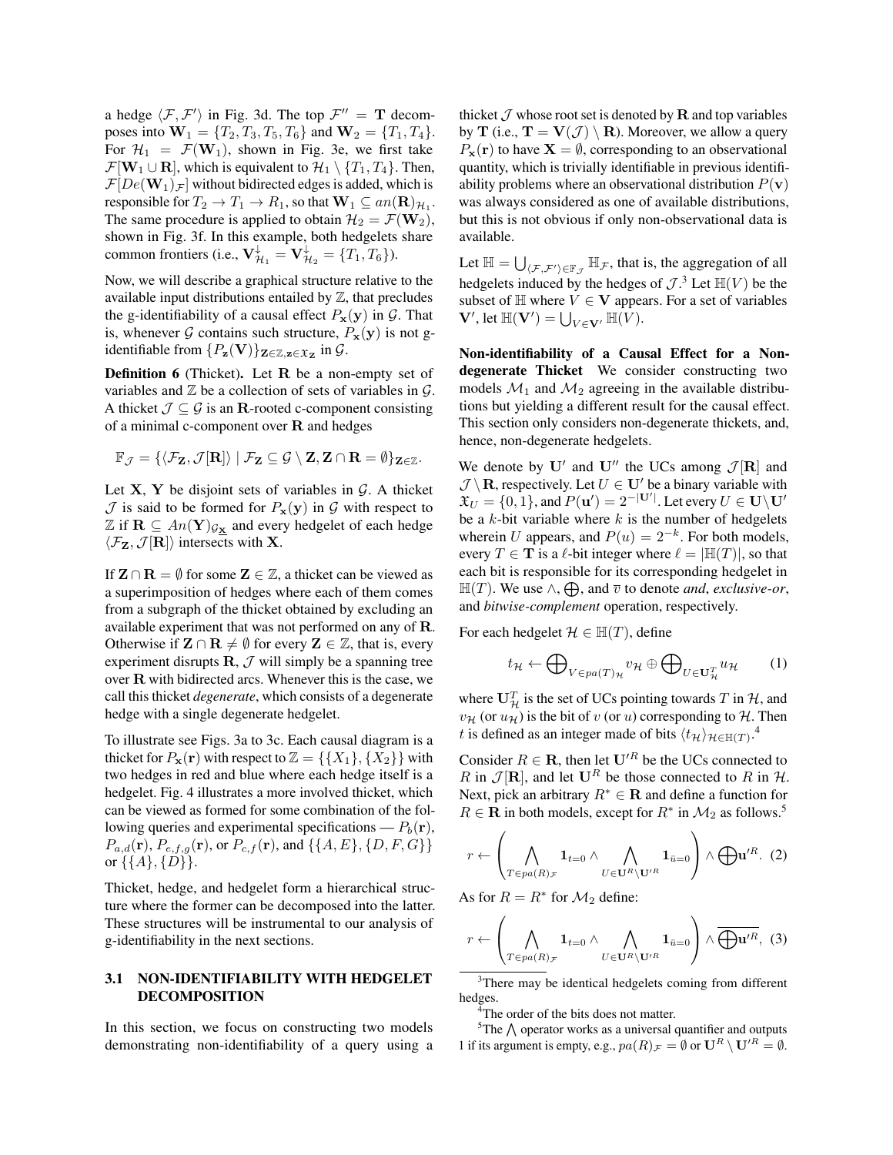a hedge  $\langle \mathcal{F}, \mathcal{F}' \rangle$  in Fig. 3d. The top  $\mathcal{F}'' = \mathbf{T}$  decomposes into  $W_1 = \{T_2, T_3, T_5, T_6\}$  and  $W_2 = \{T_1, T_4\}.$ For  $\mathcal{H}_1 = \mathcal{F}(\mathbf{W}_1)$ , shown in Fig. 3e, we first take  $\mathcal{F}[\mathbf{W}_1 \cup \mathbf{R}]$ , which is equivalent to  $\mathcal{H}_1 \setminus \{T_1, T_4\}$ . Then,  $\mathcal{F}[De(\mathbf{W}_1)_\mathcal{F}]$  without bidirected edges is added, which is responsible for  $T_2 \to T_1 \to R_1$ , so that  $\mathbf{W}_1 \subseteq an(\mathbf{R})_{\mathcal{H}_1}$ . The same procedure is applied to obtain  $\mathcal{H}_2 = \mathcal{F}(\mathbf{W}_2)$ , shown in Fig. 3f. In this example, both hedgelets share common frontiers (i.e.,  $\mathbf{V}_{\mathcal{H}_1}^{\downarrow} = \mathbf{V}_{\mathcal{H}_2}^{\downarrow} = \{T_1, T_6\}$ ).

Now, we will describe a graphical structure relative to the available input distributions entailed by  $\mathbb Z$ , that precludes the g-identifiability of a causal effect  $P_x(y)$  in  $\mathcal G$ . That is, whenever G contains such structure,  $P_x(y)$  is not gidentifiable from  $\{P_{\mathbf{z}}(\mathbf{V})\}_{\mathbf{Z}\in\mathbb{Z},\mathbf{z}\in\mathfrak{X}_{\mathbf{Z}}}$  in  $\mathcal{G}$ .

Definition 6 (Thicket). Let R be a non-empty set of variables and  $\mathbb Z$  be a collection of sets of variables in  $\mathcal G$ . A thicket  $\mathcal{J} \subseteq \mathcal{G}$  is an R-rooted c-component consisting of a minimal c-component over  $R$  and hedges

$$
\mathbb{F}_{\mathcal{J}} = \{ \langle \mathcal{F}_{\mathbf{Z}}, \mathcal{J}[\mathbf{R}] \rangle \mid \mathcal{F}_{\mathbf{Z}} \subseteq \mathcal{G} \setminus \mathbf{Z}, \mathbf{Z} \cap \mathbf{R} = \emptyset \}_{\mathbf{Z} \in \mathbb{Z}}.
$$

Let  $X, Y$  be disjoint sets of variables in  $G$ . A thicket  $\mathcal J$  is said to be formed for  $P_{\mathbf x}(\mathbf y)$  in  $\mathcal G$  with respect to  $\mathbb{Z}$  if  $\mathbf{R} \subseteq An(\mathbf{Y})_{\mathcal{G}_{\mathbf{X}}}$  and every hedgelet of each hedge  $\langle \mathcal{F}_z, \mathcal{J}[\mathbf{R}] \rangle$  intersects with **X**.

If  $\mathbf{Z} \cap \mathbf{R} = \emptyset$  for some  $\mathbf{Z} \in \mathbb{Z}$ , a thicket can be viewed as a superimposition of hedges where each of them comes from a subgraph of the thicket obtained by excluding an available experiment that was not performed on any of R. Otherwise if  $\mathbf{Z} \cap \mathbf{R} \neq \emptyset$  for every  $\mathbf{Z} \in \mathbb{Z}$ , that is, every experiment disrupts  $\mathbf{R}, \mathcal{J}$  will simply be a spanning tree over R with bidirected arcs. Whenever this is the case, we call this thicket *degenerate*, which consists of a degenerate hedge with a single degenerate hedgelet.

To illustrate see Figs. 3a to 3c. Each causal diagram is a thicket for  $P_{\mathbf{x}}(\mathbf{r})$  with respect to  $\mathbb{Z} = \{\{X_1\}, \{X_2\}\}\$  with two hedges in red and blue where each hedge itself is a hedgelet. Fig. 4 illustrates a more involved thicket, which can be viewed as formed for some combination of the following queries and experimental specifications —  $P_b(\mathbf{r})$ ,  $P_{a,d}(\mathbf{r}), P_{e,f,g}(\mathbf{r}),$  or  $P_{c,f}(\mathbf{r}),$  and  $\{\{A, E\}, \{D, F, G\}\}\$ or  $\{\{A\},\{D\}\}.$ 

Thicket, hedge, and hedgelet form a hierarchical structure where the former can be decomposed into the latter. These structures will be instrumental to our analysis of g-identifiability in the next sections.

# 3.1 NON-IDENTIFIABILITY WITH HEDGELET DECOMPOSITION

In this section, we focus on constructing two models demonstrating non-identifiability of a query using a thicket  $\mathcal J$  whose root set is denoted by **R** and top variables by **T** (i.e.,  $\mathbf{T} = \mathbf{V}(\mathcal{J}) \setminus \mathbf{R}$ ). Moreover, we allow a query  $P_x(r)$  to have  $X = \emptyset$ , corresponding to an observational quantity, which is trivially identifiable in previous identifiability problems where an observational distribution  $P(\mathbf{v})$ was always considered as one of available distributions, but this is not obvious if only non-observational data is available.

Let  $\mathbb{H} = \bigcup_{\langle \mathcal{F}, \mathcal{F}' \rangle \in \mathbb{F}_{\mathcal{J}}} \mathbb{H}_{\mathcal{F}}$ , that is, the aggregation of all hedgelets induced by the hedges of  $\mathcal{J}$ .<sup>3</sup> Let  $\mathbb{H}(V)$  be the subset of  $\mathbb H$  where  $V \in V$  appears. For a set of variables  $\mathbf{V}',$  let  $\mathbb{H}(\mathbf{V}') = \bigcup_{V \in \mathbf{V}'} \mathbb{H}(V)$ .

Non-identifiability of a Causal Effect for a Nondegenerate Thicket We consider constructing two models  $\mathcal{M}_1$  and  $\mathcal{M}_2$  agreeing in the available distributions but yielding a different result for the causal effect. This section only considers non-degenerate thickets, and, hence, non-degenerate hedgelets.

We denote by U' and U'' the UCs among  $\mathcal{J}[\mathbf{R}]$  and  $\mathcal{J} \setminus \mathbf{R}$ , respectively. Let  $U \in \mathbf{U}'$  be a binary variable with  $\mathfrak{X}_U = \{0, 1\}$ , and  $P(\mathbf{u}') = 2^{-|\mathbf{U}'|}$ . Let every  $U \in \mathbf{U} \setminus \mathbf{U}'$ be a  $k$ -bit variable where  $k$  is the number of hedgelets wherein U appears, and  $P(u) = 2^{-k}$ . For both models, every  $T \in \mathbf{T}$  is a  $\ell$ -bit integer where  $\ell = |\mathbb{H}(T)|$ , so that each bit is responsible for its corresponding hedgelet in  $\mathbb{H}(T)$ . We use  $\wedge$ ,  $\bigoplus$ , and  $\overline{v}$  to denote *and*, *exclusive-or*, and *bitwise-complement* operation, respectively.

For each hedgelet  $\mathcal{H} \in \mathbb{H}(T)$ , define

$$
t_{\mathcal{H}} \leftarrow \bigoplus_{V \in pa(T)_{\mathcal{H}}} v_{\mathcal{H}} \oplus \bigoplus_{U \in \mathbf{U}_{\mathcal{H}}^T} u_{\mathcal{H}} \qquad (1)
$$

where  $\mathbf{U}_{\mathcal{H}}^T$  is the set of UCs pointing towards  $T$  in  $\mathcal{H}$ , and  $v_{\mathcal{H}}$  (or  $u_{\mathcal{H}}$ ) is the bit of v (or u) corresponding to H. Then t is defined as an integer made of bits  $\langle t_H \rangle_{\mathcal{H} \in \mathbb{H}(T)}$ .<sup>4</sup>

Consider  $R \in \mathbf{R}$ , then let  $\mathbf{U}^{\prime R}$  be the UCs connected to R in  $\mathcal{J}[\mathbf{R}]$ , and let  $\mathbf{U}^R$  be those connected to R in H. Next, pick an arbitrary  $R^* \in \mathbf{R}$  and define a function for  $R \in \mathbf{R}$  in both models, except for  $R^*$  in  $\mathcal{M}_2$  as follows.<sup>5</sup>

$$
r \leftarrow \left(\bigwedge_{T \in pa(R)\mathcal{F}} \mathbf{1}_{t=0} \wedge \bigwedge_{U \in \mathbf{U}^R \setminus \mathbf{U}'^R} \mathbf{1}_{\bar{u}=0}\right) \wedge \bigoplus \mathbf{u}'^R. (2)
$$

As for  $R = R^*$  for  $\mathcal{M}_2$  define:

$$
r \leftarrow \left(\bigwedge_{T \in pa(R)\mathcal{F}} \mathbf{1}_{t=0} \wedge \bigwedge_{U \in \mathbf{U}^R \setminus \mathbf{U}^{\prime R}} \mathbf{1}_{\bar{u}=0} \right) \wedge \overline{\bigoplus \mathbf{u}^{\prime R}}, \tag{3}
$$

<sup>3</sup>There may be identical hedgelets coming from different hedges.

<sup>4</sup>The order of the bits does not matter.

 $5$ The  $\bigwedge$  operator works as a universal quantifier and outputs 1 if its argument is empty, e.g.,  $pa(R)_{\mathcal{F}} = \emptyset$  or  $\mathbf{U}^R \setminus \mathbf{U}'^R = \emptyset$ .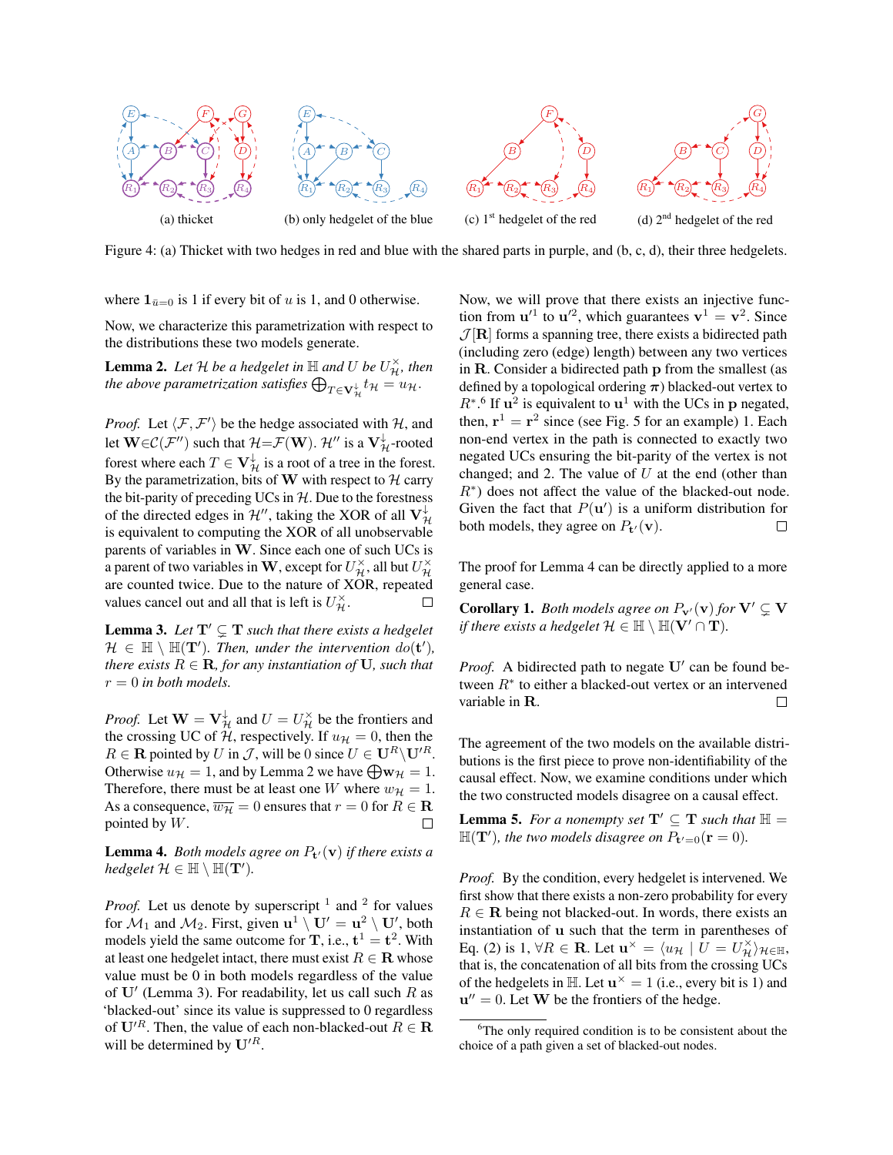

Figure 4: (a) Thicket with two hedges in red and blue with the shared parts in purple, and (b, c, d), their three hedgelets.

where  $\mathbf{1}_{\bar{u}=0}$  is 1 if every bit of u is 1, and 0 otherwise.

Now, we characterize this parametrization with respect to the distributions these two models generate.

**Lemma 2.** Let H be a hedgelet in  $\mathbb H$  and U be  $U_{\mathcal{H}}^{\times}$ , then the above parametrization satisfies  $\bigoplus_{T\in \mathbf{V}^\downarrow_\mathcal{H}} t_{\mathcal{H}}=u_{\mathcal{H}}.$ 

*Proof.* Let  $\langle F, F' \rangle$  be the hedge associated with H, and let  $\mathbf{W}\!\in\!\mathcal{C}(\mathcal{F}'')$  such that  $\mathcal{H}\!\!=\!\!\mathcal{F}(\mathbf{W}).$   $\mathcal{H}''$  is a  $\mathbf{V}^\downarrow_\mathcal{H}\!$ -rooted forest where each  $T \in \mathbf{V}_{\mathcal{H}}^{\downarrow}$  is a root of a tree in the forest. By the parametrization, bits of W with respect to  $H$  carry the bit-parity of preceding UCs in  $H$ . Due to the forestness of the directed edges in  $\mathcal{H}''$ , taking the XOR of all  $\mathbf{V}_{\mathcal{H}}^{\downarrow}$ is equivalent to computing the XOR of all unobservable parents of variables in W. Since each one of such UCs is a parent of two variables in  $\mathbf{W},$  except for  $U^\times_{\mathcal{H}}$ , all but  $U^\times_{\mathcal{H}}$ are counted twice. Due to the nature of XOR, repeated values cancel out and all that is left is  $U_{\mathcal{H}}^{\times}$ .  $\Box$ 

**Lemma 3.** Let  $T' \subseteq T$  such that there exists a hedgelet  $\mathcal{H} \in \mathbb{H} \setminus \mathbb{H}(\mathbf{T}')$ . Then, under the intervention  $do(\mathbf{t}')$ , *there exists*  $R \in \mathbf{R}$ *, for any instantiation of* **U***, such that*  $r = 0$  *in both models.* 

*Proof.* Let  $\mathbf{W} = \mathbf{V}_{\mathcal{H}}^{\downarrow}$  and  $U = U_{\mathcal{H}}^{\times}$  be the frontiers and the crossing UC of H, respectively. If  $u_{\mathcal{H}} = 0$ , then the  $R \in \mathbf{R}$  pointed by U in J, will be 0 since  $U \in \mathbf{U}^R \setminus \mathbf{U}'^R$ . Otherwise  $u_{\mathcal{H}} = 1$ , and by Lemma 2 we have  $\bigoplus \mathbf{w}_{\mathcal{H}} = 1$ . Therefore, there must be at least one W where  $w_{\mathcal{H}} = 1$ . As a consequence,  $\overline{w_H} = 0$  ensures that  $r = 0$  for  $R \in \mathbb{R}$ pointed by W.

**Lemma 4.** Both models agree on  $P_{\mathbf{t}'}(\mathbf{v})$  if there exists a  $hedgelet \mathcal{H} \in \mathbb{H} \setminus \mathbb{H}(\mathbf{T}').$ 

*Proof.* Let us denote by superscript  $1$  and  $2$  for values for  $\mathcal{M}_1$  and  $\mathcal{M}_2$ . First, given  $\mathbf{u}^1 \setminus \mathbf{U}' = \mathbf{u}^2 \setminus \mathbf{U}'$ , both models yield the same outcome for **T**, i.e.,  $t^1 = t^2$ . With at least one hedgelet intact, there must exist  $R \in \mathbf{R}$  whose value must be 0 in both models regardless of the value of  $U'$  (Lemma 3). For readability, let us call such R as 'blacked-out' since its value is suppressed to 0 regardless of  $\mathbf{U}'^R$ . Then, the value of each non-blacked-out  $R \in \mathbf{R}$ will be determined by  $U^{\prime R}$ .

Now, we will prove that there exists an injective function from  $u'^1$  to  $u'^2$ , which guarantees  $v^1 = v^2$ . Since  $\mathcal{J}[\mathbf{R}]$  forms a spanning tree, there exists a bidirected path (including zero (edge) length) between any two vertices in R. Consider a bidirected path p from the smallest (as defined by a topological ordering  $\pi$ ) blacked-out vertex to  $R^*$ .<sup>6</sup> If  $u^2$  is equivalent to  $u^1$  with the UCs in p negated, then,  $\mathbf{r}^1 = \mathbf{r}^2$  since (see Fig. 5 for an example) 1. Each non-end vertex in the path is connected to exactly two negated UCs ensuring the bit-parity of the vertex is not changed; and 2. The value of  $U$  at the end (other than  $R<sup>*</sup>$ ) does not affect the value of the blacked-out node. Given the fact that  $P(\mathbf{u}')$  is a uniform distribution for both models, they agree on  $P_{\mathbf{t}'}(\mathbf{v})$ .  $\Box$ 

The proof for Lemma 4 can be directly applied to a more general case.

**Corollary 1.** *Both models agree on*  $P_{\mathbf{v}}(\mathbf{v})$  *for*  $\mathbf{V}' \subsetneq \mathbf{V}$ *if there exists a hedgelet*  $\mathcal{H} \in \mathbb{H} \setminus \mathbb{H}(V' \cap T)$ *.* 

*Proof.* A bidirected path to negate  $U'$  can be found between  $R^*$  to either a blacked-out vertex or an intervened variable in R.  $\Box$ 

The agreement of the two models on the available distributions is the first piece to prove non-identifiability of the causal effect. Now, we examine conditions under which the two constructed models disagree on a causal effect.

**Lemma 5.** For a nonempty set  $T' \subseteq T$  such that  $\mathbb{H} =$  $\mathbb{H}(\mathbf{T}')$ , the two models disagree on  $P_{\mathbf{t}'=0}(\mathbf{r}=0)$ .

*Proof.* By the condition, every hedgelet is intervened. We first show that there exists a non-zero probability for every  $R \in \mathbf{R}$  being not blacked-out. In words, there exists an instantiation of u such that the term in parentheses of Eq. (2) is 1,  $\forall R \in \mathbf{R}$ . Let  $\mathbf{u}^{\times} = \langle u_{\mathcal{H}} \mid U = U_{\mathcal{H}}^{\times} \rangle_{\mathcal{H} \in \mathbb{H}}$ , that is, the concatenation of all bits from the crossing UCs of the hedgelets in  $\mathbb{H}$ . Let  $\mathbf{u}^{\times} = 1$  (i.e., every bit is 1) and  $\mathbf{u}'' = 0$ . Let **W** be the frontiers of the hedge.

<sup>&</sup>lt;sup>6</sup>The only required condition is to be consistent about the choice of a path given a set of blacked-out nodes.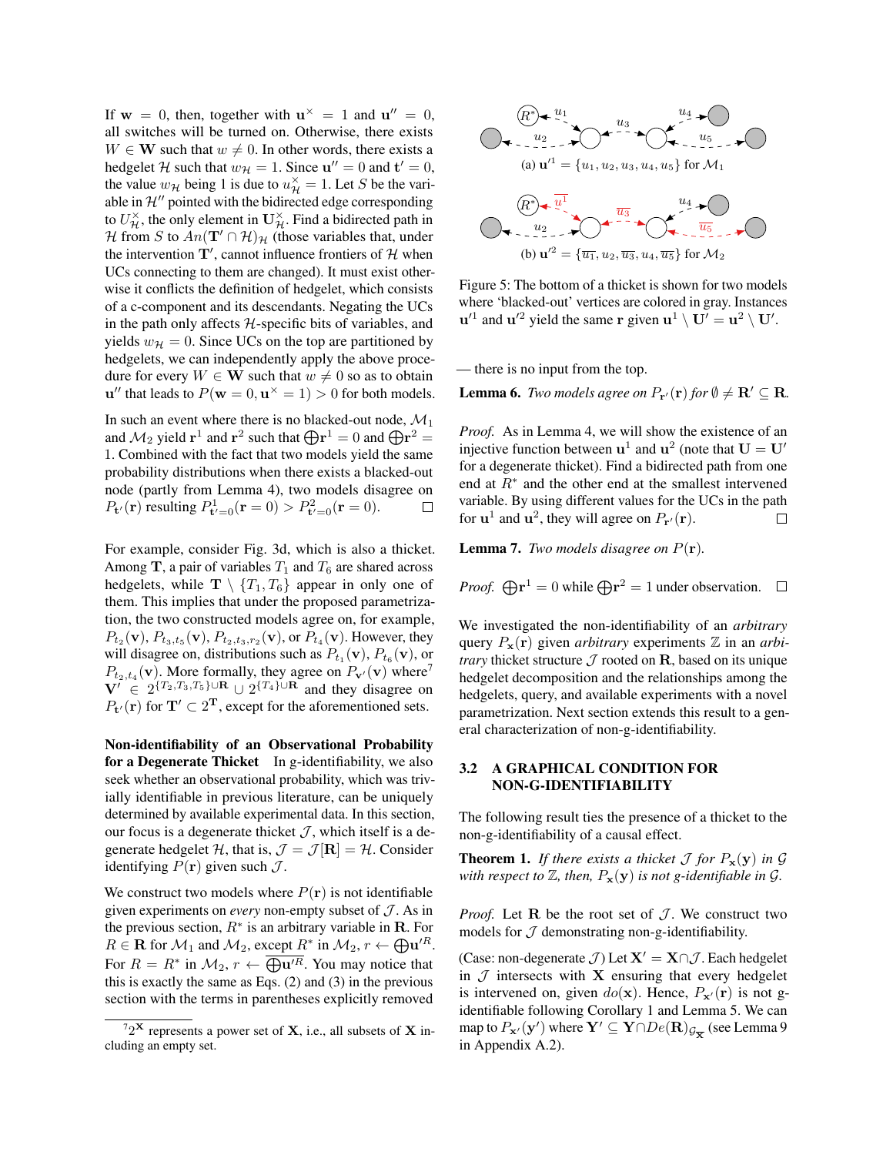If  $w = 0$ , then, together with  $u^{\times} = 1$  and  $u'' = 0$ , all switches will be turned on. Otherwise, there exists  $W \in W$  such that  $w \neq 0$ . In other words, there exists a hedgelet H such that  $w_{\mathcal{H}} = 1$ . Since  $\mathbf{u}'' = 0$  and  $\mathbf{t}' = 0$ , the value  $w_{\mathcal{H}}$  being 1 is due to  $u_{\mathcal{H}}^{\times} = 1$ . Let S be the variable in  $\mathcal{H}^{\prime\prime}$  pointed with the bidirected edge corresponding to  $U_{\mathcal{H}}^{\times}$ , the only element in  $\mathbf{U}_{\mathcal{H}}^{\times}$ . Find a bidirected path in H from S to  $An(\mathbf{T}' \cap \mathcal{H})_{\mathcal{H}}$  (those variables that, under the intervention  $T'$ , cannot influence frontiers of H when UCs connecting to them are changed). It must exist otherwise it conflicts the definition of hedgelet, which consists of a c-component and its descendants. Negating the UCs in the path only affects  $H$ -specific bits of variables, and yields  $w_{\mathcal{H}} = 0$ . Since UCs on the top are partitioned by hedgelets, we can independently apply the above procedure for every  $W \in W$  such that  $w \neq 0$  so as to obtain  ${\bf u}''$  that leads to  $P({\bf w}=0, {\bf u}^{\times}=1) > 0$  for both models.

In such an event where there is no blacked-out node,  $\mathcal{M}_1$ and  $\mathcal{M}_2$  yield  $\mathbf{r}^1$  and  $\mathbf{r}^2$  such that  $\bigoplus \mathbf{r}^1 = 0$  and  $\bigoplus \mathbf{r}^2 = 0$ 1. Combined with the fact that two models yield the same probability distributions when there exists a blacked-out node (partly from Lemma 4), two models disagree on  $P_{\mathbf{t}'}(\mathbf{r})$  resulting  $P_{\mathbf{t}'=0}^1(\mathbf{r}=0) > P_{\mathbf{t}'=0}^2(\mathbf{r}=0)$ .  $\Box$ 

For example, consider Fig. 3d, which is also a thicket. Among T, a pair of variables  $T_1$  and  $T_6$  are shared across hedgelets, while  $\mathbf{T} \setminus \{T_1, T_6\}$  appear in only one of them. This implies that under the proposed parametrization, the two constructed models agree on, for example,  $P_{t_2}(\mathbf{v}), P_{t_3,t_5}(\mathbf{v}), P_{t_2,t_3,r_2}(\mathbf{v}), \text{or } P_{t_4}(\mathbf{v})$ . However, they will disagree on, distributions such as  $P_{t_1}(\mathbf{v}), P_{t_6}(\mathbf{v})$ , or  $P_{t_2,t_4}(\mathbf{v})$ . More formally, they agree on  $P_{\mathbf{v}'}(\mathbf{v})$  where<sup>7</sup>  $V' \in 2^{\{T_2,T_3,T_5\} \cup \mathbf{R}} \cup 2^{\{T_4\} \cup \mathbf{R}}$  and they disagree on  $P_{\mathbf{t}'}(\mathbf{r})$  for  $\mathbf{T}' \subset 2^{\mathbf{T}}$ , except for the aforementioned sets.

Non-identifiability of an Observational Probability for a Degenerate Thicket In g-identifiability, we also seek whether an observational probability, which was trivially identifiable in previous literature, can be uniquely determined by available experimental data. In this section, our focus is a degenerate thicket  $J$ , which itself is a degenerate hedgelet H, that is,  $\mathcal{J} = \mathcal{J}[\mathbf{R}] = \mathcal{H}$ . Consider identifying  $P(\mathbf{r})$  given such  $\mathcal{J}$ .

We construct two models where  $P(\mathbf{r})$  is not identifiable given experiments on *every* non-empty subset of  $J$ . As in the previous section,  $R^*$  is an arbitrary variable in **R**. For  $R \in \mathbf{R}$  for  $\mathcal{M}_1$  and  $\mathcal{M}_2$ , except  $R^*$  in  $\mathcal{M}_2$ ,  $r \leftarrow \bigoplus \mathbf{u}'^R$ . For  $R = R^*$  in  $\mathcal{M}_2$ ,  $r \leftarrow \overline{\bigoplus \mathbf{u}'^R}$ . You may notice that this is exactly the same as Eqs. (2) and (3) in the previous section with the terms in parentheses explicitly removed



Figure 5: The bottom of a thicket is shown for two models where 'blacked-out' vertices are colored in gray. Instances  $u'^1$  and  $u'^2$  yield the same r given  $u^1 \setminus U' = u^2 \setminus U'.$ 

— there is no input from the top.

**Lemma 6.** *Two models agree on*  $P_{\mathbf{r}'}(\mathbf{r})$  *for*  $\emptyset \neq \mathbf{R}' \subseteq \mathbf{R}$ *.* 

*Proof.* As in Lemma 4, we will show the existence of an injective function between  $\mathbf{u}^1$  and  $\mathbf{u}^2$  (note that  $\mathbf{U} = \mathbf{U}'$ for a degenerate thicket). Find a bidirected path from one end at  $R^*$  and the other end at the smallest intervened variable. By using different values for the UCs in the path for  $\mathbf{u}^1$  and  $\mathbf{u}^2$ , they will agree on  $P_{\mathbf{r}'}(\mathbf{r})$ .  $\Box$ 

**Lemma 7.** *Two models disagree on*  $P(\mathbf{r})$ *.* 

*Proof.* 
$$
\bigoplus \mathbf{r}^1 = 0
$$
 while  $\bigoplus \mathbf{r}^2 = 1$  under observation.  $\Box$ 

We investigated the non-identifiability of an *arbitrary* query  $P_{\mathbf{x}}(\mathbf{r})$  given *arbitrary* experiments  $\mathbb{Z}$  in an *arbitrary* thicket structure  $\mathcal J$  rooted on R, based on its unique hedgelet decomposition and the relationships among the hedgelets, query, and available experiments with a novel parametrization. Next section extends this result to a general characterization of non-g-identifiability.

## 3.2 A GRAPHICAL CONDITION FOR NON-G-IDENTIFIABILITY

The following result ties the presence of a thicket to the non-g-identifiability of a causal effect.

**Theorem 1.** *If there exists a thicket*  $\mathcal J$  *for*  $P_x(y)$  *in*  $\mathcal G$ *with respect to*  $\mathbb{Z}$ *, then,*  $P_x(y)$  *is not g-identifiable in*  $\mathcal{G}$ *.* 

*Proof.* Let  $R$  be the root set of  $J$ . We construct two models for  $J$  demonstrating non-g-identifiability.

(Case: non-degenerate  $J$ ) Let  $X' = X \cap J$ . Each hedgelet in  $J$  intersects with  $X$  ensuring that every hedgelet is intervened on, given  $do(x)$ . Hence,  $P_{x}(r)$  is not gidentifiable following Corollary 1 and Lemma 5. We can map to  $P_{\mathbf{x}'}(\mathbf{y}')$  where  $\mathbf{Y}' \subseteq \mathbf{Y} \cap De(\mathbf{R})_{\mathcal{G}_{\overline{\mathbf{X}}}}$  (see Lemma 9 in Appendix A.2).

 $72^{\mathbf{X}}$  represents a power set of **X**, i.e., all subsets of **X** including an empty set.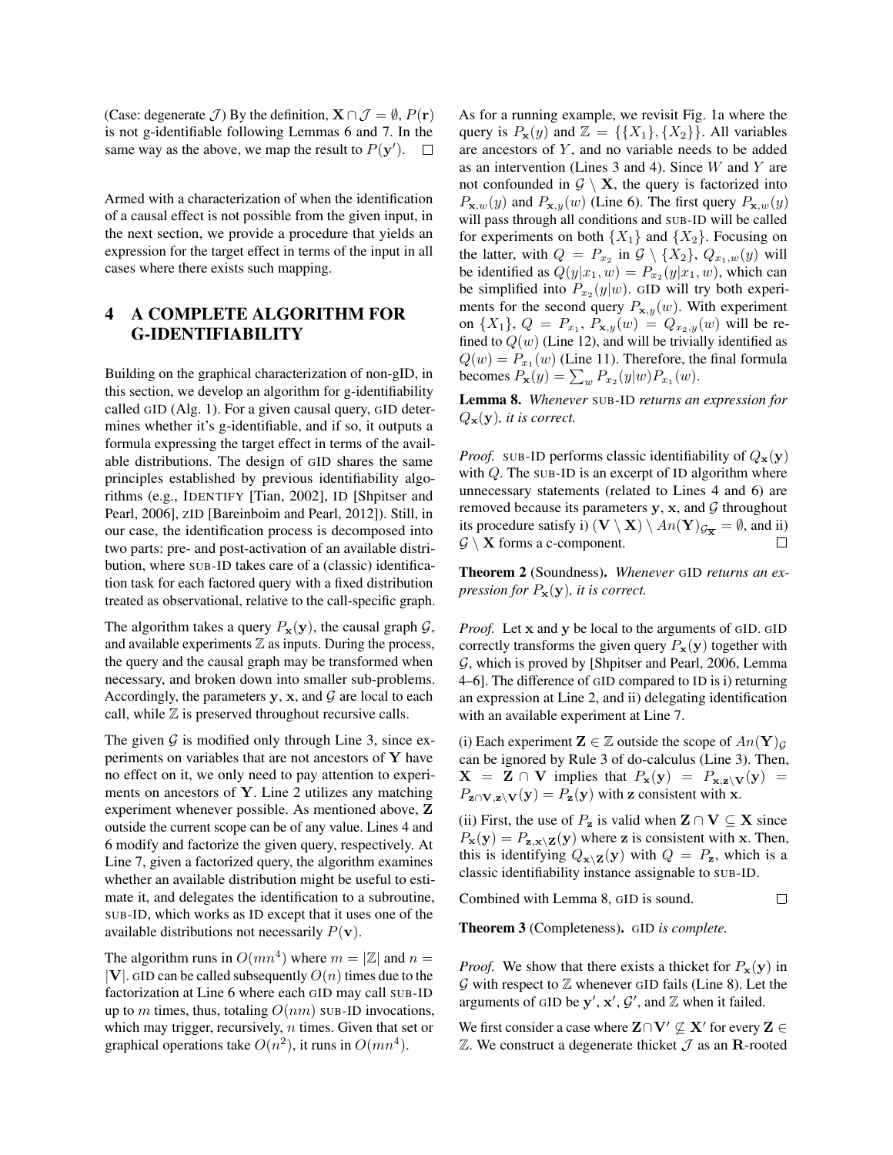(Case: degenerate  $\mathcal{J}$ ) By the definition,  $\mathbf{X} \cap \mathcal{J} = \emptyset$ ,  $P(\mathbf{r})$ is not g-identifiable following Lemmas 6 and 7. In the same way as the above, we map the result to  $P(y')$ .  $\Box$ 

Armed with a characterization of when the identification of a causal effect is not possible from the given input, in the next section, we provide a procedure that yields an expression for the target effect in terms of the input in all cases where there exists such mapping.

# 4 A COMPLETE ALGORITHM FOR G-IDENTIFIABILITY

Building on the graphical characterization of non-gID, in this section, we develop an algorithm for g-identifiability called GID (Alg. 1). For a given causal query, GID determines whether it's g-identifiable, and if so, it outputs a formula expressing the target effect in terms of the available distributions. The design of GID shares the same principles established by previous identifiability algorithms (e.g., IDENTIFY [Tian, 2002], ID [Shpitser and Pearl, 2006], ZID [Bareinboim and Pearl, 2012]). Still, in our case, the identification process is decomposed into two parts: pre- and post-activation of an available distribution, where SUB-ID takes care of a (classic) identification task for each factored query with a fixed distribution treated as observational, relative to the call-specific graph.

The algorithm takes a query  $P_x(y)$ , the causal graph  $\mathcal{G}$ , and available experiments  $\mathbb Z$  as inputs. During the process, the query and the causal graph may be transformed when necessary, and broken down into smaller sub-problems. Accordingly, the parameters y, x, and  $\mathcal G$  are local to each call, while  $Z$  is preserved throughout recursive calls.

The given  $G$  is modified only through Line 3, since experiments on variables that are not ancestors of  $Y$  have no effect on it, we only need to pay attention to experiments on ancestors of Y. Line 2 utilizes any matching experiment whenever possible. As mentioned above, Z outside the current scope can be of any value. Lines 4 and 6 modify and factorize the given query, respectively. At Line 7, given a factorized query, the algorithm examines whether an available distribution might be useful to estimate it, and delegates the identification to a subroutine, SUB-ID, which works as ID except that it uses one of the available distributions not necessarily  $P(\mathbf{v})$ .

The algorithm runs in  $O(mn^4)$  where  $m = |\mathbb{Z}|$  and  $n =$  $|V|$ . GID can be called subsequently  $O(n)$  times due to the factorization at Line 6 where each GID may call SUB-ID up to m times, thus, totaling  $O(nm)$  SUB-ID invocations, which may trigger, recursively,  $n$  times. Given that set or graphical operations take  $O(n^2)$ , it runs in  $O(mn^4)$ .

As for a running example, we revisit Fig. 1a where the query is  $P_{\mathbf{x}}(y)$  and  $\mathbb{Z} = \{\{X_1\}, \{X_2\}\}\.$  All variables are ancestors of  $Y$ , and no variable needs to be added as an intervention (Lines 3 and 4). Since  $W$  and  $Y$  are not confounded in  $G \setminus X$ , the query is factorized into  $P_{\mathbf{x},w}(y)$  and  $P_{\mathbf{x},y}(w)$  (Line 6). The first query  $P_{\mathbf{x},w}(y)$ will pass through all conditions and SUB-ID will be called for experiments on both  $\{X_1\}$  and  $\{X_2\}$ . Focusing on the latter, with  $Q = P_{x_2}$  in  $\mathcal{G} \setminus \{X_2\}$ ,  $Q_{x_1,w}(y)$  will be identified as  $Q(y|x_1, w) = P_{x_2}(y|x_1, w)$ , which can be simplified into  $P_{x_2}(y|w)$ . GID will try both experiments for the second query  $P_{\mathbf{x},y}(w)$ . With experiment on  $\{X_1\}$ ,  $Q = P_{x_1}$ ,  $P_{\mathbf{x},y}(w) = Q_{x_2,y}(w)$  will be refined to  $Q(w)$  (Line 12), and will be trivially identified as  $Q(w) = P_{x_1}(w)$  (Line 11). Therefore, the final formula becomes  $P_{\mathbf{x}}(y) = \sum_{w} P_{x_2}(y|w) P_{x_1}(w)$ .

Lemma 8. *Whenever* SUB-ID *returns an expression for*  $Q_{\mathbf{x}}(\mathbf{y})$ *, it is correct.* 

*Proof.* SUB-ID performs classic identifiability of  $Q_{\mathbf{x}}(\mathbf{y})$ with  $Q$ . The sub-ID is an excerpt of ID algorithm where unnecessary statements (related to Lines 4 and 6) are removed because its parameters  $y$ ,  $x$ , and  $\mathcal G$  throughout its procedure satisfy i)  $(\mathbf{V} \setminus \mathbf{X}) \setminus An(\mathbf{Y})_{\mathcal{G}_{\overline{\mathbf{X}}}} = \emptyset$ , and ii)  $\mathcal{G} \setminus \mathbf{X}$  forms a c-component.

Theorem 2 (Soundness). *Whenever* GID *returns an expression for*  $P_{\mathbf{x}}(\mathbf{y})$ *, it is correct.* 

*Proof.* Let x and y be local to the arguments of <sup>G</sup>ID. <sup>G</sup>ID correctly transforms the given query  $P_x(y)$  together with G, which is proved by [Shpitser and Pearl, 2006, Lemma 4–6]. The difference of GID compared to ID is i) returning an expression at Line 2, and ii) delegating identification with an available experiment at Line 7.

(i) Each experiment  $\mathbf{Z} \in \mathbb{Z}$  outside the scope of  $An(\mathbf{Y})_G$ can be ignored by Rule 3 of do-calculus (Line 3). Then,  $X = Z \cap V$  implies that  $P_x(y) = P_{x,z} (y) =$  $P_{\mathbf{z} \cap \mathbf{V}, \mathbf{z} \setminus \mathbf{V}}(\mathbf{y}) = P_{\mathbf{z}}(\mathbf{y})$  with z consistent with x.

(ii) First, the use of  $P_z$  is valid when  $\mathbf{Z} \cap \mathbf{V} \subseteq \mathbf{X}$  since  $P_{\mathbf{x}}(\mathbf{y}) = P_{\mathbf{z}, \mathbf{x} \setminus \mathbf{Z}}(\mathbf{y})$  where z is consistent with x. Then, this is identifying  $Q_{\mathbf{x} \setminus \mathbf{Z}}(\mathbf{y})$  with  $Q = P_{\mathbf{z}}$ , which is a classic identifiability instance assignable to SUB-ID.

 $\Box$ 

Combined with Lemma 8, GID is sound.

Theorem 3 (Completeness). GID *is complete.*

*Proof.* We show that there exists a thicket for  $P_x(y)$  in  $G$  with respect to  $\mathbb Z$  whenever GID fails (Line 8). Let the arguments of GID be  $y'$ ,  $x'$ ,  $\mathcal{G}'$ , and  $\mathbb{Z}$  when it failed.

We first consider a case where  $\mathbf{Z} \cap \mathbf{V}' \nsubseteq \mathbf{X}'$  for every  $\mathbf{Z} \in \mathbb{R}^d$  $\mathbb Z$ . We construct a degenerate thicket  $\mathcal J$  as an R-rooted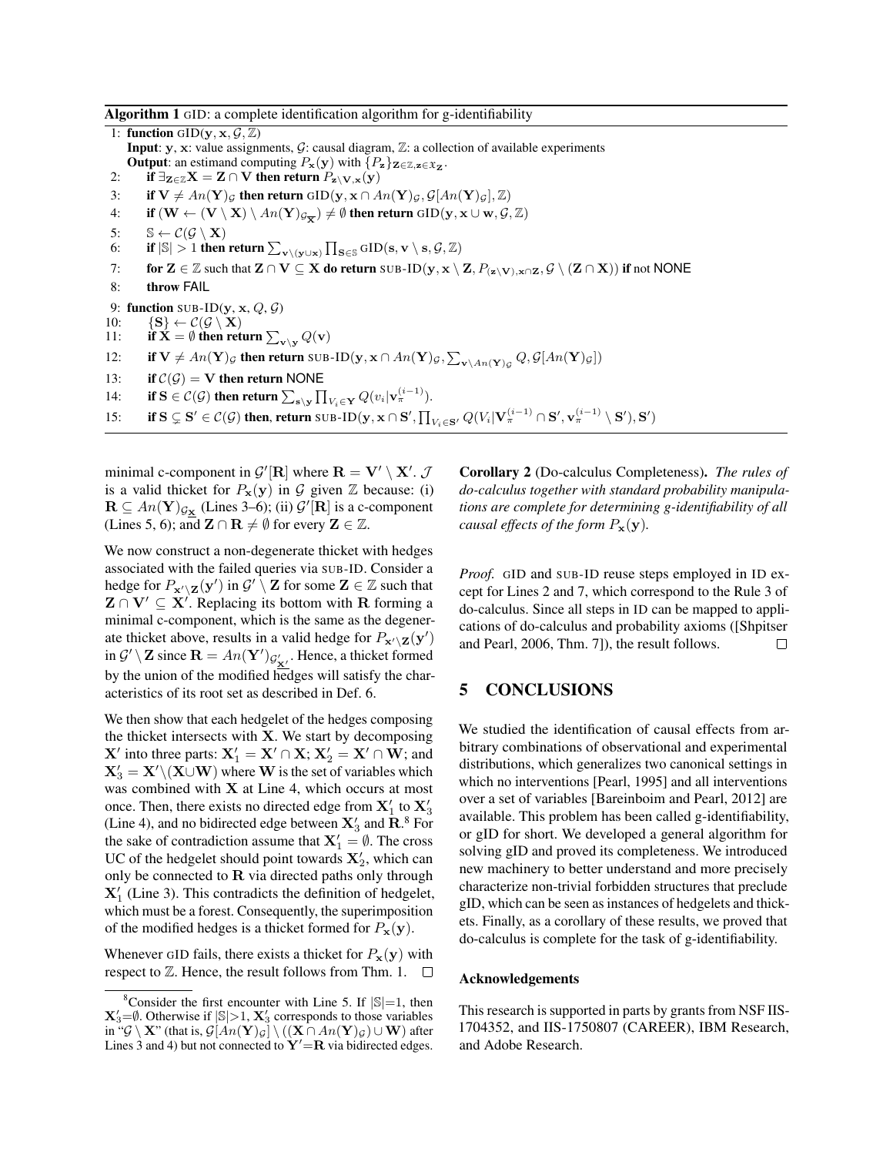#### Algorithm 1 GID: a complete identification algorithm for g-identifiability

1: function GID( $\mathbf{y}, \mathbf{x}, \mathcal{G}, \mathbb{Z}$ ) **Input:** y, x: value assignments,  $G$ : causal diagram,  $\mathbb{Z}$ : a collection of available experiments **Output**: an estimand computing  $P_{\mathbf{x}}(\mathbf{y})$  with  $\{P_{\mathbf{z}}\}_{\mathbf{Z}\in\mathbb{Z},\mathbf{z}\in\mathfrak{X}_{\mathbf{Z}}}.$ 2: if  $\exists z \in \mathbb{Z}$   $X = Z \cap V$  then return  $P_{z \setminus V, x}(y)$ 3: if  $V \neq An(Y)_{\mathcal{G}}$  then return GID $(y, x \cap An(Y)_{\mathcal{G}}, \mathcal{G}[An(Y)_{\mathcal{G}}], \mathbb{Z})$ 4: if  $(\mathbf{W} \leftarrow (\mathbf{V} \setminus \mathbf{X}) \setminus An(\mathbf{Y})_{\mathcal{G}_{\overline{\mathbf{X}}}}) \neq \emptyset$  then return  $\mathrm{GID}(\mathbf{y}, \mathbf{x} \cup \mathbf{w}, \mathcal{G}, \mathbb{Z})$ 5:  $\mathbb{S} \leftarrow \mathcal{C}(\mathcal{G} \setminus \mathbf{X})$ 6: if  $|\mathbb{S}| > 1$  then return  $\sum_{\mathbf{v} \setminus (\mathbf{y} \cup \mathbf{x})} \prod_{\mathbf{S} \in \mathbb{S}} \mathrm{GID}(\mathbf{s}, \mathbf{v} \setminus \mathbf{s}, \mathcal{G}, \mathbb{Z})$ 7: for  $\mathbf{Z} \in \mathbb{Z}$  such that  $\mathbf{Z} \cap \mathbf{V} \subseteq \mathbf{X}$  do return SUB-ID $(y, x \setminus \mathbf{Z}, P_{(\mathbf{z} \setminus \mathbf{V}), x \cap \mathbf{Z}}, \mathcal{G} \setminus (\mathbf{Z} \cap \mathbf{X}))$  if not NONE 8: throw FAIL 9: function SUB-ID( $\mathbf{v}, \mathbf{x}, Q, Q$ ) 10:  $\{S\} \leftarrow C(\mathcal{G} \setminus X)$ 11: if  $X = \emptyset$  then return  $\sum_{v \setminus y} Q(v)$ 12: if  $V \neq An(Y)_{\mathcal{G}}$  then return SUB-ID $(y, x \cap An(Y)_{\mathcal{G}}, \sum_{v \setminus An(Y)_{\mathcal{G}}} Q, \mathcal{G}[An(Y)_{\mathcal{G}}])$ 13: if  $C(G) = V$  then return NONE 14: if  $S \in \mathcal{C}(\mathcal{G})$  then return  $\sum_{s \setminus \mathbf{y}} \prod_{V_i \in \mathbf{Y}} Q(v_i | \mathbf{v}_{\pi}^{(i-1)})$ . 15: if  $S \subsetneq S' \in \mathcal{C}(\mathcal{G})$  then, return SUB-ID $(\mathbf{y}, \mathbf{x} \cap S', \prod_{V_i \in S'} Q(V_i | \mathbf{V}_{\pi}^{(i-1)} \cap S', \mathbf{v}_{\pi}^{(i-1)} \setminus S'), S')$ 

minimal c-component in  $\mathcal{G}'[\mathbf{R}]$  where  $\mathbf{R} = \mathbf{V}' \setminus \mathbf{X}'$ .  $\mathcal{J}$ is a valid thicket for  $P_{\mathbf{x}}(\mathbf{y})$  in  $\mathcal G$  given  $\mathbb Z$  because: (i)  $\mathbf{R} \subseteq An(\mathbf{Y})_{\mathcal{G}_{\mathbf{X}}}$  (Lines 3–6); (ii)  $\mathcal{G}'[\mathbf{R}]$  is a c-component (Lines 5, 6); and  $\mathbf{Z} \cap \mathbf{R} \neq \emptyset$  for every  $\mathbf{Z} \in \mathbb{Z}$ .

We now construct a non-degenerate thicket with hedges associated with the failed queries via SUB-ID. Consider a hedge for  $P_{\mathbf{x}'\setminus\mathbf{Z}}(\mathbf{y}')$  in  $\mathcal{G}'\setminus\mathbf{Z}$  for some  $\mathbf{Z}\in\mathbb{Z}$  such that  $\mathbf{Z} \cap \mathbf{V}' \subseteq \mathbf{X}'$ . Replacing its bottom with R forming a minimal c-component, which is the same as the degenerate thicket above, results in a valid hedge for  $P_{\mathbf{x}'\setminus\mathbf{Z}}(\mathbf{y}')$ in  $\mathcal{G}' \setminus \mathbf{Z}$  since  $\mathbf{R} = An(\mathbf{Y}')_{\mathcal{G}'_{\mathbf{X}'}}$ . Hence, a thicket formed by the union of the modified hedges will satisfy the characteristics of its root set as described in Def. 6.

We then show that each hedgelet of the hedges composing the thicket intersects with X. We start by decomposing **X'** into three parts:  $X'_1 = X' \cap X$ ;  $X'_2 = X' \cap W$ ; and  $\mathbf{X}'_3 = \mathbf{X}'\backslash (\mathbf{X}\cup \mathbf{W})$  where W is the set of variables which was combined with  $X$  at Line 4, which occurs at most once. Then, there exists no directed edge from  $\mathbf{X}_1'$  to  $\mathbf{X}_3'$ (Line 4), and no bidirected edge between  $\mathbf{X}'_3$  and  $\mathbf{R}$ .<sup>8</sup> For the sake of contradiction assume that  $X'_1 = \emptyset$ . The cross UC of the hedgelet should point towards  $X'_2$ , which can only be connected to  $\bf R$  via directed paths only through  $X'_1$  (Line 3). This contradicts the definition of hedgelet, which must be a forest. Consequently, the superimposition of the modified hedges is a thicket formed for  $P_{\mathbf{x}}(\mathbf{y})$ .

Whenever GID fails, there exists a thicket for  $P_x(y)$  with respect to  $\mathbb Z$ . Hence, the result follows from Thm. 1.  $\Box$  Corollary 2 (Do-calculus Completeness). *The rules of do-calculus together with standard probability manipulations are complete for determining g-identifiability of all causal effects of the form*  $P_{\mathbf{x}}(\mathbf{y})$ *.* 

*Proof.* GID and SUB-ID reuse steps employed in ID except for Lines 2 and 7, which correspond to the Rule 3 of do-calculus. Since all steps in ID can be mapped to applications of do-calculus and probability axioms ([Shpitser and Pearl, 2006, Thm. 7]), the result follows.  $\Box$ 

# 5 CONCLUSIONS

We studied the identification of causal effects from arbitrary combinations of observational and experimental distributions, which generalizes two canonical settings in which no interventions [Pearl, 1995] and all interventions over a set of variables [Bareinboim and Pearl, 2012] are available. This problem has been called g-identifiability, or gID for short. We developed a general algorithm for solving gID and proved its completeness. We introduced new machinery to better understand and more precisely characterize non-trivial forbidden structures that preclude gID, which can be seen as instances of hedgelets and thickets. Finally, as a corollary of these results, we proved that do-calculus is complete for the task of g-identifiability.

#### Acknowledgements

This research is supported in parts by grants from NSF IIS-1704352, and IIS-1750807 (CAREER), IBM Research, and Adobe Research.

<sup>&</sup>lt;sup>8</sup>Consider the first encounter with Line 5. If  $|\mathbb{S}|=1$ , then  $\mathbf{X}'_3 = \emptyset$ . Otherwise if  $|\mathbb{S}| > 1$ ,  $\mathbf{X}'_3$  corresponds to those variables in " $\mathcal{G} \setminus \mathbf{X}$ " (that is,  $\mathcal{G}[An(\mathbf{Y})_{\mathcal{G}}] \setminus ((\mathbf{X} \cap An(\mathbf{Y})_{\mathcal{G}}) \cup \mathbf{W})$  after Lines 3 and 4) but not connected to  $Y' = R$  via bidirected edges.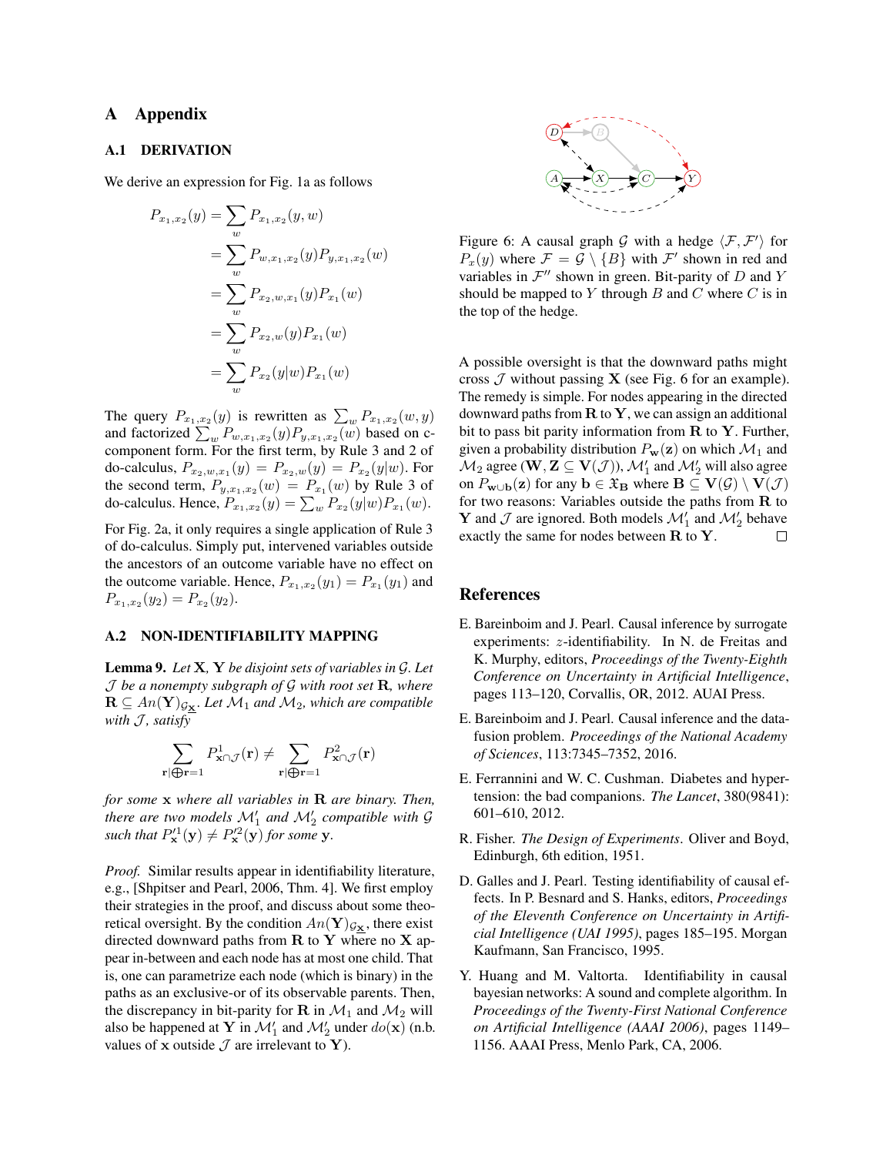# A Appendix

### A.1 DERIVATION

We derive an expression for Fig. 1a as follows

$$
P_{x_1,x_2}(y) = \sum_{w} P_{x_1,x_2}(y,w)
$$
  
= 
$$
\sum_{w} P_{w,x_1,x_2}(y) P_{y,x_1,x_2}(w)
$$
  
= 
$$
\sum_{w} P_{x_2,w,x_1}(y) P_{x_1}(w)
$$
  
= 
$$
\sum_{w} P_{x_2,w}(y) P_{x_1}(w)
$$
  
= 
$$
\sum_{w} P_{x_2}(y|w) P_{x_1}(w)
$$

The query  $P_{x_1,x_2}(y)$  is rewritten as  $\sum_{w} P_{x_1,x_2}(w, y)$ and factorized  $\sum_{w} P_{w,x_1,x_2}(y) P_{y,x_1,x_2}(w)$  based on ccomponent form. For the first term, by Rule 3 and 2 of do-calculus,  $P_{x_2,w,x_1}(y) = P_{x_2,w}(y) = P_{x_2}(y|w)$ . For the second term,  $P_{y,x_1,x_2}(w) = P_{x_1}(w)$  by Rule 3 of do-calculus. Hence,  $P_{x_1,x_2}(y) = \sum_{w} P_{x_2}(y|w) P_{x_1}(w)$ .

For Fig. 2a, it only requires a single application of Rule 3 of do-calculus. Simply put, intervened variables outside the ancestors of an outcome variable have no effect on the outcome variable. Hence,  $P_{x_1,x_2}(y_1) = P_{x_1}(y_1)$  and  $P_{x_1,x_2}(y_2) = P_{x_2}(y_2).$ 

### A.2 NON-IDENTIFIABILITY MAPPING

r|

Lemma 9. *Let* X*,* Y *be disjoint sets of variables in* G*. Let* J *be a nonempty subgraph of* G *with root set* R*, where*  $\mathbf{R} \subseteq An(\mathbf{Y})_{\mathcal{G}_{\mathbf{X}}}$ *. Let*  $\mathcal{M}_1$  *and*  $\mathcal{M}_2$ *, which are compatible with*  $J$ *, satisfy* 

$$
\sum_{|\bigoplus \mathbf{r}=1} P_{\mathbf{x} \cap \mathcal{J}}^1(\mathbf{r}) \neq \sum_{\mathbf{r}|\bigoplus \mathbf{r}=1} P_{\mathbf{x} \cap \mathcal{J}}^2(\mathbf{r})
$$

*for some* x *where all variables in* R *are binary. Then, there are two models*  $\mathcal{M}'_1$  *and*  $\mathcal{M}'_2$  *compatible with*  $\mathcal G$ such that  $P_{\mathbf{x}}^{\prime 1}(\mathbf{y}) \neq P_{\mathbf{x}}^{\prime 2}(\mathbf{y})$  for some **y**.

*Proof.* Similar results appear in identifiability literature, e.g., [Shpitser and Pearl, 2006, Thm. 4]. We first employ their strategies in the proof, and discuss about some theoretical oversight. By the condition  $An(Y)_{\mathcal{G}_{\mathbf{X}}}$ , there exist directed downward paths from  $R$  to  $Y$  where no  $X$  appear in-between and each node has at most one child. That is, one can parametrize each node (which is binary) in the paths as an exclusive-or of its observable parents. Then, the discrepancy in bit-parity for R in  $\mathcal{M}_1$  and  $\mathcal{M}_2$  will also be happened at Y in  $\mathcal{M}'_1$  and  $\mathcal{M}'_2$  under  $do(\mathbf{x})$  (n.b. values of x outside  $\mathcal J$  are irrelevant to Y).



Figure 6: A causal graph G with a hedge  $\langle F, \mathcal{F}' \rangle$  for  $P_x(y)$  where  $\mathcal{F} = \mathcal{G} \setminus \{B\}$  with  $\mathcal{F}'$  shown in red and variables in  $\mathcal{F}''$  shown in green. Bit-parity of  $D$  and  $Y$ should be mapped to  $Y$  through  $B$  and  $C$  where  $C$  is in the top of the hedge.

A possible oversight is that the downward paths might cross  $\mathcal J$  without passing **X** (see Fig. 6 for an example). The remedy is simple. For nodes appearing in the directed downward paths from  $R$  to  $Y$ , we can assign an additional bit to pass bit parity information from  $R$  to  $Y$ . Further, given a probability distribution  $P_w(z)$  on which  $\mathcal{M}_1$  and  $\mathcal{M}_2$  agree ( $\mathbf{W}, \mathbf{Z} \subseteq \mathbf{V}(\mathcal{J})$ ),  $\mathcal{M}_1'$  and  $\mathcal{M}_2'$  will also agree on  $P_{\mathbf{w}\cup\mathbf{b}}(\mathbf{z})$  for any  $\mathbf{b}\in\mathfrak{X}_{\mathbf{B}}$  where  $\mathbf{B}\subseteq\mathbf{V}(\mathcal{G})\setminus\mathbf{V}(\mathcal{J})$ for two reasons: Variables outside the paths from  $R$  to **Y** and  $\mathcal{J}$  are ignored. Both models  $\mathcal{M}'_1$  and  $\mathcal{M}'_2$  behave exactly the same for nodes between R to Y.  $\Box$ 

#### References

- E. Bareinboim and J. Pearl. Causal inference by surrogate experiments: z-identifiability. In N. de Freitas and K. Murphy, editors, *Proceedings of the Twenty-Eighth Conference on Uncertainty in Artificial Intelligence*, pages 113–120, Corvallis, OR, 2012. AUAI Press.
- E. Bareinboim and J. Pearl. Causal inference and the datafusion problem. *Proceedings of the National Academy of Sciences*, 113:7345–7352, 2016.
- E. Ferrannini and W. C. Cushman. Diabetes and hypertension: the bad companions. *The Lancet*, 380(9841): 601–610, 2012.
- R. Fisher. *The Design of Experiments*. Oliver and Boyd, Edinburgh, 6th edition, 1951.
- D. Galles and J. Pearl. Testing identifiability of causal effects. In P. Besnard and S. Hanks, editors, *Proceedings of the Eleventh Conference on Uncertainty in Artificial Intelligence (UAI 1995)*, pages 185–195. Morgan Kaufmann, San Francisco, 1995.
- Y. Huang and M. Valtorta. Identifiability in causal bayesian networks: A sound and complete algorithm. In *Proceedings of the Twenty-First National Conference on Artificial Intelligence (AAAI 2006)*, pages 1149– 1156. AAAI Press, Menlo Park, CA, 2006.